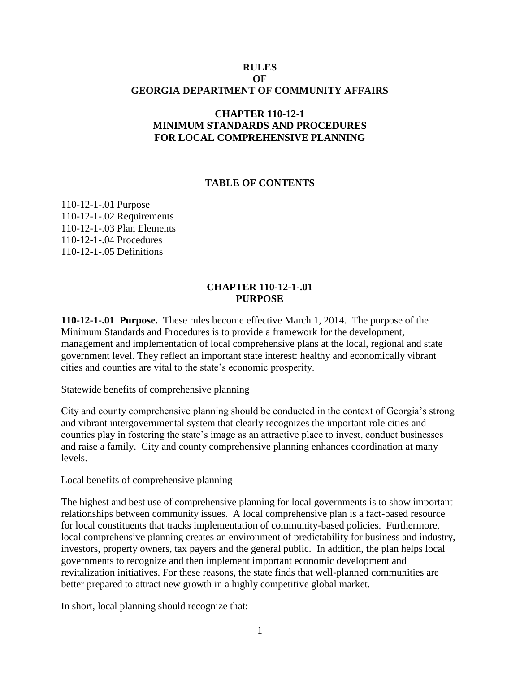## **RULES OF GEORGIA DEPARTMENT OF COMMUNITY AFFAIRS**

# **CHAPTER 110-12-1 MINIMUM STANDARDS AND PROCEDURES FOR LOCAL COMPREHENSIVE PLANNING**

### **TABLE OF CONTENTS**

110-12-1-.01 Purpose 110-12-1-.02 Requirements 110-12-1-.03 Plan Elements 110-12-1-.04 Procedures [110-12-1-.05](#page-14-0) Definitions

### **CHAPTER 110-12-1-.01 PURPOSE**

**110-12-1-.01 Purpose.** These rules become effective March 1, 2014.The purpose of the Minimum Standards and Procedures is to provide a framework for the development, management and implementation of local comprehensive plans at the local, regional and state government level. They reflect an important state interest: healthy and economically vibrant cities and counties are vital to the state's economic prosperity.

### Statewide benefits of comprehensive planning

City and county comprehensive planning should be conducted in the context of Georgia's strong and vibrant intergovernmental system that clearly recognizes the important role cities and counties play in fostering the state's image as an attractive place to invest, conduct businesses and raise a family. City and county comprehensive planning enhances coordination at many levels.

#### Local benefits of comprehensive planning

The highest and best use of comprehensive planning for local governments is to show important relationships between community issues. A local comprehensive plan is a fact-based resource for local constituents that tracks implementation of community-based policies. Furthermore, local comprehensive planning creates an environment of predictability for business and industry, investors, property owners, tax payers and the general public. In addition, the plan helps local governments to recognize and then implement important economic development and revitalization initiatives. For these reasons, the state finds that well-planned communities are better prepared to attract new growth in a highly competitive global market.

In short, local planning should recognize that: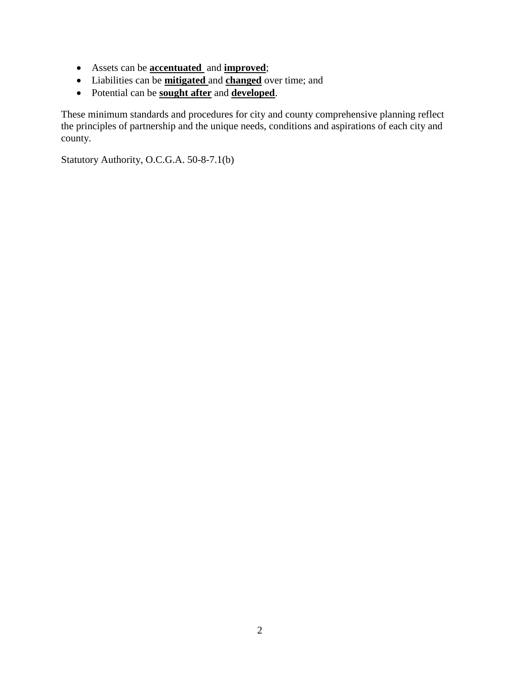- Assets can be **accentuated** and **improved**;
- Liabilities can be **mitigated** and **changed** over time; and
- Potential can be **sought after** and **developed**.

These minimum standards and procedures for city and county comprehensive planning reflect the principles of partnership and the unique needs, conditions and aspirations of each city and county.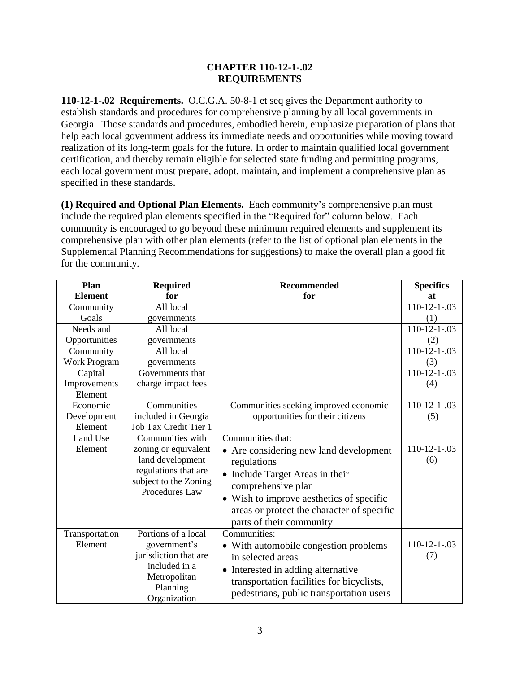## **CHAPTER 110-12-1-.02 REQUIREMENTS**

**110-12-1-.02 Requirements.** O.C.G.A. 50-8-1 et seq gives the Department authority to establish standards and procedures for comprehensive planning by all local governments in Georgia. Those standards and procedures, embodied herein, emphasize preparation of plans that help each local government address its immediate needs and opportunities while moving toward realization of its long-term goals for the future. In order to maintain qualified local government certification, and thereby remain eligible for selected state funding and permitting programs, each local government must prepare, adopt, maintain, and implement a comprehensive plan as specified in these standards.

**(1) Required and Optional Plan Elements.** Each community's comprehensive plan must include the required plan elements specified in the "Required for" column below. Each community is encouraged to go beyond these minimum required elements and supplement its comprehensive plan with other plan elements (refer to the list of optional plan elements in the Supplemental Planning Recommendations for suggestions) to make the overall plan a good fit for the community.

| <b>Plan</b>               | <b>Required</b>                                                                                                           | <b>Recommended</b>                                                                                                                                                                                                                   | <b>Specifics</b>      |
|---------------------------|---------------------------------------------------------------------------------------------------------------------------|--------------------------------------------------------------------------------------------------------------------------------------------------------------------------------------------------------------------------------------|-----------------------|
| <b>Element</b>            | for                                                                                                                       | for                                                                                                                                                                                                                                  | at                    |
| Community                 | All local                                                                                                                 |                                                                                                                                                                                                                                      | $110-12-1-.03$        |
| Goals                     | governments                                                                                                               |                                                                                                                                                                                                                                      | (1)                   |
| Needs and                 | All local                                                                                                                 |                                                                                                                                                                                                                                      | $110-12-1-.03$        |
| Opportunities             | governments                                                                                                               |                                                                                                                                                                                                                                      | (2)                   |
| Community                 | All local                                                                                                                 |                                                                                                                                                                                                                                      | $110-12-1-.03$        |
| <b>Work Program</b>       | governments                                                                                                               |                                                                                                                                                                                                                                      | (3)                   |
| Capital                   | Governments that                                                                                                          |                                                                                                                                                                                                                                      | $110-12-1-.03$        |
| Improvements              | charge impact fees                                                                                                        |                                                                                                                                                                                                                                      | (4)                   |
| Element                   |                                                                                                                           |                                                                                                                                                                                                                                      |                       |
| Economic                  | Communities                                                                                                               | Communities seeking improved economic                                                                                                                                                                                                | $110-12-1-.03$        |
| Development               | included in Georgia                                                                                                       | opportunities for their citizens                                                                                                                                                                                                     | (5)                   |
| Element                   | Job Tax Credit Tier 1                                                                                                     |                                                                                                                                                                                                                                      |                       |
| Land Use                  | Communities with                                                                                                          | Communities that:                                                                                                                                                                                                                    |                       |
| Element                   | zoning or equivalent<br>land development<br>regulations that are<br>subject to the Zoning<br>Procedures Law               | • Are considering new land development<br>regulations<br>• Include Target Areas in their<br>comprehensive plan<br>• Wish to improve aesthetics of specific<br>areas or protect the character of specific<br>parts of their community | $110-12-1-.03$<br>(6) |
| Transportation<br>Element | Portions of a local<br>government's<br>jurisdiction that are<br>included in a<br>Metropolitan<br>Planning<br>Organization | Communities:<br>• With automobile congestion problems<br>in selected areas<br>• Interested in adding alternative<br>transportation facilities for bicyclists,<br>pedestrians, public transportation users                            | $110-12-1-03$<br>(7)  |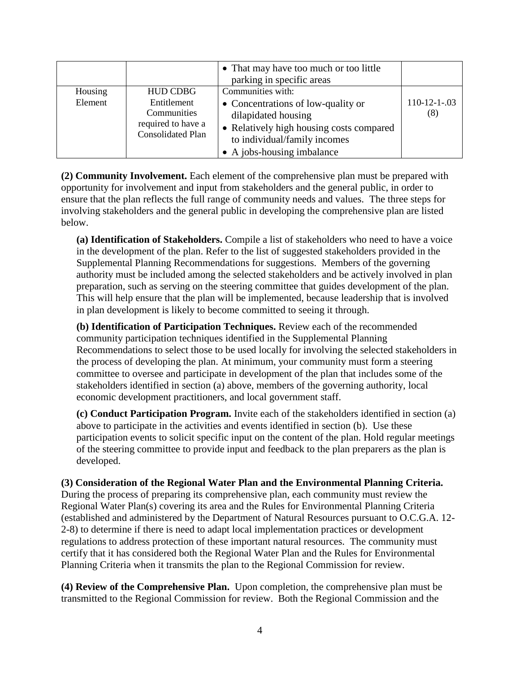|         |                                                                              | • That may have too much or too little<br>parking in specific areas                                                                                                 |                       |
|---------|------------------------------------------------------------------------------|---------------------------------------------------------------------------------------------------------------------------------------------------------------------|-----------------------|
| Housing | <b>HUD CDBG</b>                                                              | Communities with:                                                                                                                                                   |                       |
| Element | Entitlement<br>Communities<br>required to have a<br><b>Consolidated Plan</b> | • Concentrations of low-quality or<br>dilapidated housing<br>• Relatively high housing costs compared<br>to individual/family incomes<br>• A jobs-housing imbalance | $110-12-1-.03$<br>(8) |

**(2) Community Involvement.** Each element of the comprehensive plan must be prepared with opportunity for involvement and input from stakeholders and the general public, in order to ensure that the plan reflects the full range of community needs and values. The three steps for involving stakeholders and the general public in developing the comprehensive plan are listed below.

**(a) Identification of Stakeholders.** Compile a list of stakeholders who need to have a voice in the development of the plan. Refer to the list of suggested stakeholders provided in the Supplemental Planning Recommendations for suggestions. Members of the governing authority must be included among the selected stakeholders and be actively involved in plan preparation, such as serving on the steering committee that guides development of the plan. This will help ensure that the plan will be implemented, because leadership that is involved in plan development is likely to become committed to seeing it through.

**(b) Identification of Participation Techniques.** Review each of the recommended community participation techniques identified in the Supplemental Planning Recommendations to select those to be used locally for involving the selected stakeholders in the process of developing the plan. At minimum, your community must form a steering committee to oversee and participate in development of the plan that includes some of the stakeholders identified in section (a) above, members of the governing authority, local economic development practitioners, and local government staff.

**(c) Conduct Participation Program.** Invite each of the stakeholders identified in section (a) above to participate in the activities and events identified in section (b). Use these participation events to solicit specific input on the content of the plan. Hold regular meetings of the steering committee to provide input and feedback to the plan preparers as the plan is developed.

**(3) Consideration of the Regional Water Plan and the Environmental Planning Criteria.** During the process of preparing its comprehensive plan, each community must review the Regional Water Plan(s) covering its area and the Rules for Environmental Planning Criteria (established and administered by the Department of Natural Resources pursuant to O.C.G.A. 12- 2-8) to determine if there is need to adapt local implementation practices or development regulations to address protection of these important natural resources. The community must certify that it has considered both the Regional Water Plan and the Rules for Environmental Planning Criteria when it transmits the plan to the Regional Commission for review.

**(4) Review of the Comprehensive Plan.** Upon completion, the comprehensive plan must be transmitted to the Regional Commission for review. Both the Regional Commission and the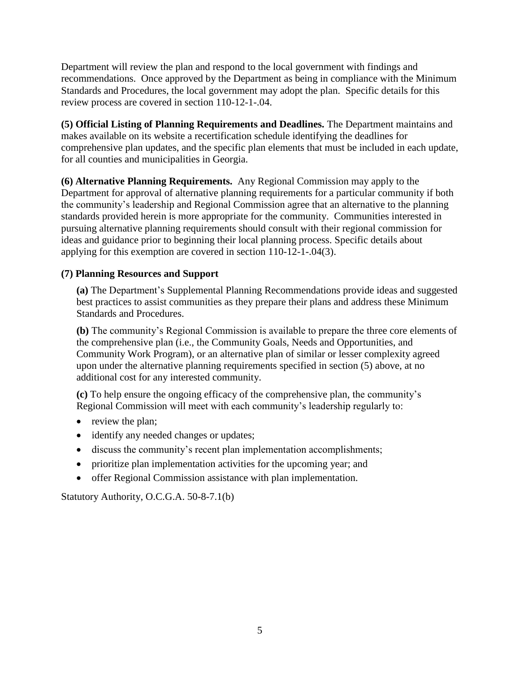Department will review the plan and respond to the local government with findings and recommendations. Once approved by the Department as being in compliance with the Minimum Standards and Procedures, the local government may adopt the plan. Specific details for this review process are covered in section 110-12-1-.04.

**(5) Official Listing of Planning Requirements and Deadlines.** The Department maintains and makes available on its website a recertification schedule identifying the deadlines for comprehensive plan updates, and the specific plan elements that must be included in each update, for all counties and municipalities in Georgia.

**(6) Alternative Planning Requirements.** Any Regional Commission may apply to the Department for approval of alternative planning requirements for a particular community if both the community's leadership and Regional Commission agree that an alternative to the planning standards provided herein is more appropriate for the community. Communities interested in pursuing alternative planning requirements should consult with their regional commission for ideas and guidance prior to beginning their local planning process. Specific details about applying for this exemption are covered in section 110-12-1-.04(3).

# **(7) Planning Resources and Support**

**(a)** The Department's Supplemental Planning Recommendations provide ideas and suggested best practices to assist communities as they prepare their plans and address these Minimum Standards and Procedures.

**(b)** The community's Regional Commission is available to prepare the three core elements of the comprehensive plan (i.e., the Community Goals, Needs and Opportunities, and Community Work Program), or an alternative plan of similar or lesser complexity agreed upon under the alternative planning requirements specified in section (5) above, at no additional cost for any interested community.

**(c)** To help ensure the ongoing efficacy of the comprehensive plan, the community's Regional Commission will meet with each community's leadership regularly to:

- review the plan;
- identify any needed changes or updates;
- discuss the community's recent plan implementation accomplishments;
- prioritize plan implementation activities for the upcoming year; and
- offer Regional Commission assistance with plan implementation.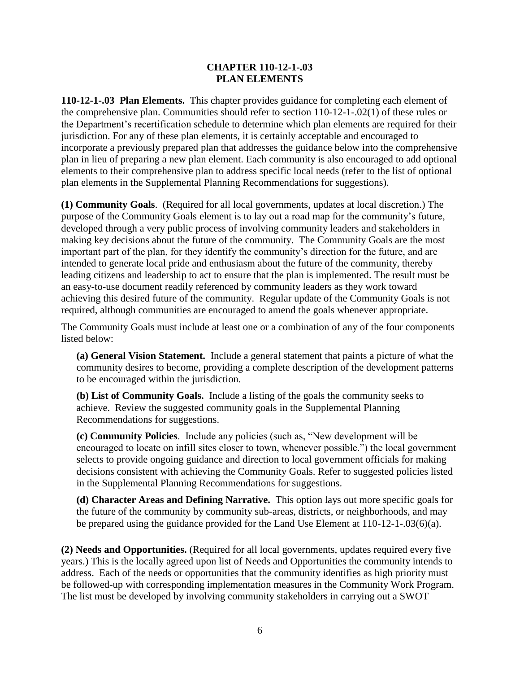## **CHAPTER 110-12-1-.03 PLAN ELEMENTS**

**110-12-1-.03 Plan Elements.** This chapter provides guidance for completing each element of the comprehensive plan. Communities should refer to section 110-12-1-.02(1) of these rules or the Department's recertification schedule to determine which plan elements are required for their jurisdiction. For any of these plan elements, it is certainly acceptable and encouraged to incorporate a previously prepared plan that addresses the guidance below into the comprehensive plan in lieu of preparing a new plan element. Each community is also encouraged to add optional elements to their comprehensive plan to address specific local needs (refer to the list of optional plan elements in the Supplemental Planning Recommendations for suggestions).

**(1) Community Goals**. (Required for all local governments, updates at local discretion.) The purpose of the Community Goals element is to lay out a road map for the community's future, developed through a very public process of involving community leaders and stakeholders in making key decisions about the future of the community. The Community Goals are the most important part of the plan, for they identify the community's direction for the future, and are intended to generate local pride and enthusiasm about the future of the community, thereby leading citizens and leadership to act to ensure that the plan is implemented. The result must be an easy-to-use document readily referenced by community leaders as they work toward achieving this desired future of the community. Regular update of the Community Goals is not required, although communities are encouraged to amend the goals whenever appropriate.

The Community Goals must include at least one or a combination of any of the four components listed below:

**(a) General Vision Statement.** Include a general statement that paints a picture of what the community desires to become, providing a complete description of the development patterns to be encouraged within the jurisdiction.

**(b) List of Community Goals.** Include a listing of the goals the community seeks to achieve. Review the suggested community goals in the Supplemental Planning Recommendations for suggestions.

**(c) Community Policies**. Include any policies (such as, "New development will be encouraged to locate on infill sites closer to town, whenever possible.") the local government selects to provide ongoing guidance and direction to local government officials for making decisions consistent with achieving the Community Goals. Refer to suggested policies listed in the Supplemental Planning Recommendations for suggestions.

**(d) Character Areas and Defining Narrative.** This option lays out more specific goals for the future of the community by community sub-areas, districts, or neighborhoods, and may be prepared using the guidance provided for the Land Use Element at 110-12-1-.03(6)(a).

**(2) Needs and Opportunities.** (Required for all local governments, updates required every five years.) This is the locally agreed upon list of Needs and Opportunities the community intends to address. Each of the needs or opportunities that the community identifies as high priority must be followed-up with corresponding implementation measures in the Community Work Program. The list must be developed by involving community stakeholders in carrying out a SWOT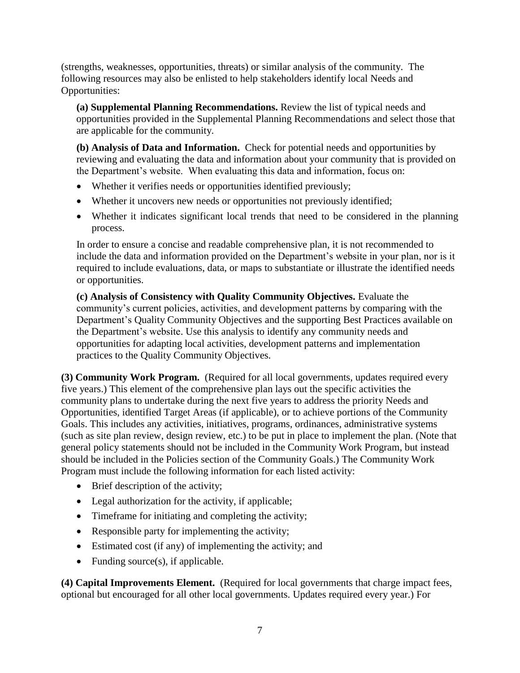(strengths, weaknesses, opportunities, threats) or similar analysis of the community. The following resources may also be enlisted to help stakeholders identify local Needs and Opportunities:

**(a) Supplemental Planning Recommendations.** Review the list of typical needs and opportunities provided in the Supplemental Planning Recommendations and select those that are applicable for the community.

**(b) Analysis of Data and Information.** Check for potential needs and opportunities by reviewing and evaluating the data and information about your community that is provided on the Department's website. When evaluating this data and information, focus on:

- Whether it verifies needs or opportunities identified previously;
- Whether it uncovers new needs or opportunities not previously identified;
- Whether it indicates significant local trends that need to be considered in the planning process.

In order to ensure a concise and readable comprehensive plan, it is not recommended to include the data and information provided on the Department's website in your plan, nor is it required to include evaluations, data, or maps to substantiate or illustrate the identified needs or opportunities.

**(c) Analysis of Consistency with Quality Community Objectives.** Evaluate the community's current policies, activities, and development patterns by comparing with the Department's Quality Community Objectives and the supporting Best Practices available on the Department's website. Use this analysis to identify any community needs and opportunities for adapting local activities, development patterns and implementation practices to the Quality Community Objectives.

**(3) Community Work Program.** (Required for all local governments, updates required every five years.) This element of the comprehensive plan lays out the specific activities the community plans to undertake during the next five years to address the priority Needs and Opportunities, identified Target Areas (if applicable), or to achieve portions of the Community Goals. This includes any activities, initiatives, programs, ordinances, administrative systems (such as site plan review, design review, etc.) to be put in place to implement the plan. (Note that general policy statements should not be included in the Community Work Program, but instead should be included in the Policies section of the Community Goals.) The Community Work Program must include the following information for each listed activity:

- Brief description of the activity;
- Legal authorization for the activity, if applicable;
- Timeframe for initiating and completing the activity;
- Responsible party for implementing the activity;
- Estimated cost (if any) of implementing the activity; and
- Funding source $(s)$ , if applicable.

**(4) Capital Improvements Element.** (Required for local governments that charge impact fees, optional but encouraged for all other local governments. Updates required every year.) For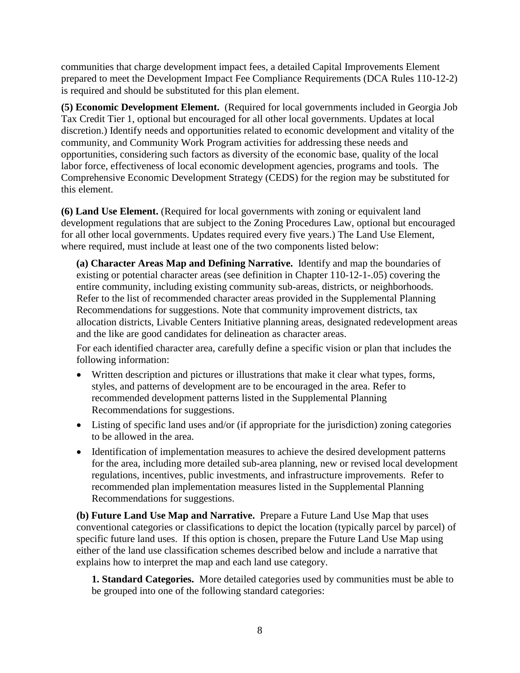communities that charge development impact fees, a detailed Capital Improvements Element prepared to meet the Development Impact Fee Compliance Requirements (DCA Rules 110-12-2) is required and should be substituted for this plan element.

**(5) Economic Development Element.** (Required for local governments included in Georgia Job Tax Credit Tier 1, optional but encouraged for all other local governments. Updates at local discretion.) Identify needs and opportunities related to economic development and vitality of the community, and Community Work Program activities for addressing these needs and opportunities, considering such factors as diversity of the economic base, quality of the local labor force, effectiveness of local economic development agencies, programs and tools. The Comprehensive Economic Development Strategy (CEDS) for the region may be substituted for this element.

**(6) Land Use Element.** (Required for local governments with zoning or equivalent land development regulations that are subject to the Zoning Procedures Law, optional but encouraged for all other local governments. Updates required every five years.) The Land Use Element, where required, must include at least one of the two components listed below:

**(a) Character Areas Map and Defining Narrative.** Identify and map the boundaries of existing or potential character areas (see definition in Chapter 110-12-1-.05) covering the entire community, including existing community sub-areas, districts, or neighborhoods. Refer to the list of recommended character areas provided in the Supplemental Planning Recommendations for suggestions. Note that community improvement districts, tax allocation districts, Livable Centers Initiative planning areas, designated redevelopment areas and the like are good candidates for delineation as character areas.

For each identified character area, carefully define a specific vision or plan that includes the following information:

- Written description and pictures or illustrations that make it clear what types, forms, styles, and patterns of development are to be encouraged in the area. Refer to recommended development patterns listed in the Supplemental Planning Recommendations for suggestions.
- Listing of specific land uses and/or (if appropriate for the jurisdiction) zoning categories to be allowed in the area.
- Identification of implementation measures to achieve the desired development patterns for the area, including more detailed sub-area planning, new or revised local development regulations, incentives, public investments, and infrastructure improvements. Refer to recommended plan implementation measures listed in the Supplemental Planning Recommendations for suggestions.

**(b) Future Land Use Map and Narrative.** Prepare a Future Land Use Map that uses conventional categories or classifications to depict the location (typically parcel by parcel) of specific future land uses. If this option is chosen, prepare the Future Land Use Map using either of the land use classification schemes described below and include a narrative that explains how to interpret the map and each land use category.

**1. Standard Categories.** More detailed categories used by communities must be able to be grouped into one of the following standard categories: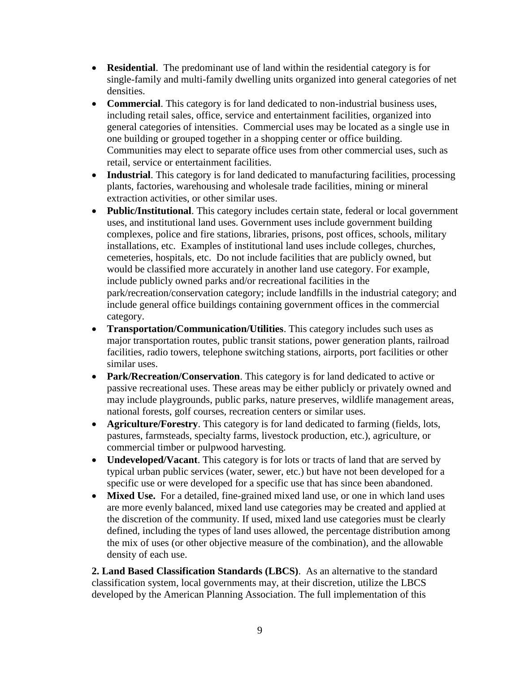- **Residential**. The predominant use of land within the residential category is for single-family and multi-family dwelling units organized into general categories of net densities.
- **Commercial**. This category is for land dedicated to non-industrial business uses, including retail sales, office, service and entertainment facilities, organized into general categories of intensities. Commercial uses may be located as a single use in one building or grouped together in a shopping center or office building. Communities may elect to separate office uses from other commercial uses, such as retail, service or entertainment facilities.
- **Industrial**. This category is for land dedicated to manufacturing facilities, processing plants, factories, warehousing and wholesale trade facilities, mining or mineral extraction activities, or other similar uses.
- **Public/Institutional**. This category includes certain state, federal or local government uses, and institutional land uses. Government uses include government building complexes, police and fire stations, libraries, prisons, post offices, schools, military installations, etc. Examples of institutional land uses include colleges, churches, cemeteries, hospitals, etc. Do not include facilities that are publicly owned, but would be classified more accurately in another land use category. For example, include publicly owned parks and/or recreational facilities in the park/recreation/conservation category; include landfills in the industrial category; and include general office buildings containing government offices in the commercial category.
- **Transportation/Communication/Utilities**. This category includes such uses as major transportation routes, public transit stations, power generation plants, railroad facilities, radio towers, telephone switching stations, airports, port facilities or other similar uses.
- **Park/Recreation/Conservation**. This category is for land dedicated to active or passive recreational uses. These areas may be either publicly or privately owned and may include playgrounds, public parks, nature preserves, wildlife management areas, national forests, golf courses, recreation centers or similar uses.
- **Agriculture/Forestry**. This category is for land dedicated to farming (fields, lots, pastures, farmsteads, specialty farms, livestock production, etc.), agriculture, or commercial timber or pulpwood harvesting.
- **Undeveloped/Vacant**. This category is for lots or tracts of land that are served by typical urban public services (water, sewer, etc.) but have not been developed for a specific use or were developed for a specific use that has since been abandoned.
- **Mixed Use.** For a detailed, fine-grained mixed land use, or one in which land uses are more evenly balanced, mixed land use categories may be created and applied at the discretion of the community. If used, mixed land use categories must be clearly defined, including the types of land uses allowed, the percentage distribution among the mix of uses (or other objective measure of the combination), and the allowable density of each use.

**2. Land Based Classification Standards (LBCS)**. As an alternative to the standard classification system, local governments may, at their discretion, utilize the LBCS developed by the American Planning Association. The full implementation of this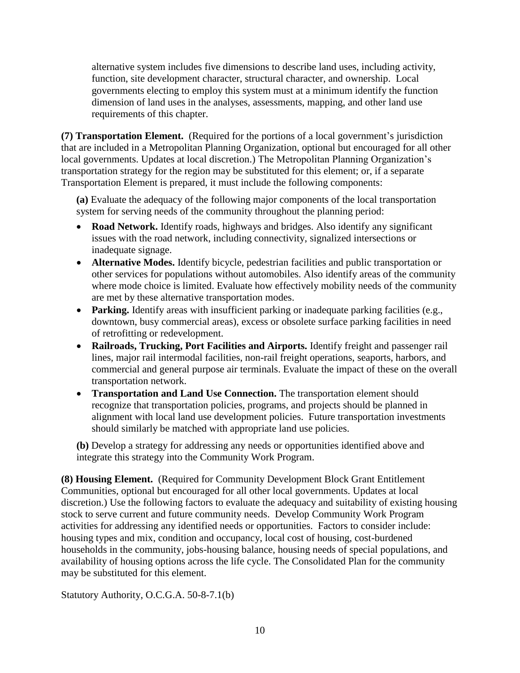alternative system includes five dimensions to describe land uses, including activity, function, site development character, structural character, and ownership. Local governments electing to employ this system must at a minimum identify the function dimension of land uses in the analyses, assessments, mapping, and other land use requirements of this chapter.

**(7) Transportation Element.** (Required for the portions of a local government's jurisdiction that are included in a Metropolitan Planning Organization, optional but encouraged for all other local governments. Updates at local discretion.) The Metropolitan Planning Organization's transportation strategy for the region may be substituted for this element; or, if a separate Transportation Element is prepared, it must include the following components:

**(a)** Evaluate the adequacy of the following major components of the local transportation system for serving needs of the community throughout the planning period:

- **Road Network.** Identify roads, highways and bridges. Also identify any significant issues with the road network, including connectivity, signalized intersections or inadequate signage.
- **Alternative Modes.** Identify bicycle, pedestrian facilities and public transportation or other services for populations without automobiles. Also identify areas of the community where mode choice is limited. Evaluate how effectively mobility needs of the community are met by these alternative transportation modes.
- Parking. Identify areas with insufficient parking or inadequate parking facilities (e.g., downtown, busy commercial areas), excess or obsolete surface parking facilities in need of retrofitting or redevelopment.
- **Railroads, Trucking, Port Facilities and Airports.** Identify freight and passenger rail lines, major rail intermodal facilities, non-rail freight operations, seaports, harbors, and commercial and general purpose air terminals. Evaluate the impact of these on the overall transportation network.
- **Transportation and Land Use Connection.** The transportation element should recognize that transportation policies, programs, and projects should be planned in alignment with local land use development policies. Future transportation investments should similarly be matched with appropriate land use policies.

**(b)** Develop a strategy for addressing any needs or opportunities identified above and integrate this strategy into the Community Work Program.

**(8) Housing Element.** (Required for Community Development Block Grant Entitlement Communities, optional but encouraged for all other local governments. Updates at local discretion.) Use the following factors to evaluate the adequacy and suitability of existing housing stock to serve current and future community needs. Develop Community Work Program activities for addressing any identified needs or opportunities. Factors to consider include: housing types and mix, condition and occupancy, local cost of housing, cost-burdened households in the community, jobs-housing balance, housing needs of special populations, and availability of housing options across the life cycle. The Consolidated Plan for the community may be substituted for this element.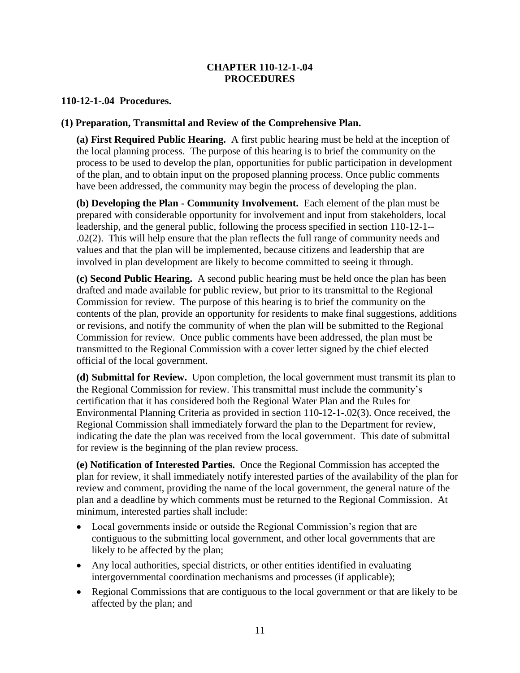## **CHAPTER 110-12-1-.04 PROCEDURES**

### **110-12-1-.04 Procedures.**

### **(1) Preparation, Transmittal and Review of the Comprehensive Plan.**

**(a) First Required Public Hearing.** A first public hearing must be held at the inception of the local planning process. The purpose of this hearing is to brief the community on the process to be used to develop the plan, opportunities for public participation in development of the plan, and to obtain input on the proposed planning process. Once public comments have been addressed, the community may begin the process of developing the plan.

**(b) Developing the Plan - Community Involvement.** Each element of the plan must be prepared with considerable opportunity for involvement and input from stakeholders, local leadership, and the general public, following the process specified in section 110-12-1-- .02(2). This will help ensure that the plan reflects the full range of community needs and values and that the plan will be implemented, because citizens and leadership that are involved in plan development are likely to become committed to seeing it through.

**(c) Second Public Hearing.** A second public hearing must be held once the plan has been drafted and made available for public review, but prior to its transmittal to the Regional Commission for review. The purpose of this hearing is to brief the community on the contents of the plan, provide an opportunity for residents to make final suggestions, additions or revisions, and notify the community of when the plan will be submitted to the Regional Commission for review. Once public comments have been addressed, the plan must be transmitted to the Regional Commission with a cover letter signed by the chief elected official of the local government.

**(d) Submittal for Review.** Upon completion, the local government must transmit its plan to the Regional Commission for review. This transmittal must include the community's certification that it has considered both the Regional Water Plan and the Rules for Environmental Planning Criteria as provided in section 110-12-1-.02(3). Once received, the Regional Commission shall immediately forward the plan to the Department for review, indicating the date the plan was received from the local government. This date of submittal for review is the beginning of the plan review process.

**(e) Notification of Interested Parties.** Once the Regional Commission has accepted the plan for review, it shall immediately notify interested parties of the availability of the plan for review and comment, providing the name of the local government, the general nature of the plan and a deadline by which comments must be returned to the Regional Commission. At minimum, interested parties shall include:

- Local governments inside or outside the Regional Commission's region that are contiguous to the submitting local government, and other local governments that are likely to be affected by the plan;
- Any local authorities, special districts, or other entities identified in evaluating intergovernmental coordination mechanisms and processes (if applicable);
- Regional Commissions that are contiguous to the local government or that are likely to be affected by the plan; and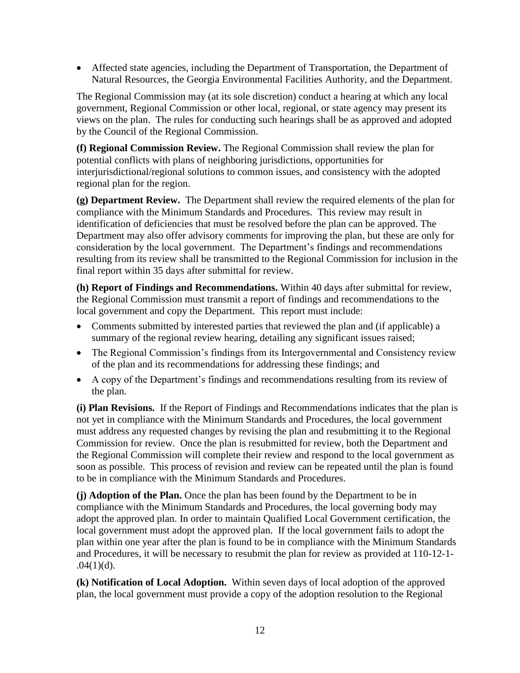Affected state agencies, including the Department of Transportation, the Department of Natural Resources, the Georgia Environmental Facilities Authority, and the Department.

The Regional Commission may (at its sole discretion) conduct a hearing at which any local government, Regional Commission or other local, regional, or state agency may present its views on the plan. The rules for conducting such hearings shall be as approved and adopted by the Council of the Regional Commission.

**(f) Regional Commission Review.** The Regional Commission shall review the plan for potential conflicts with plans of neighboring jurisdictions, opportunities for interjurisdictional/regional solutions to common issues, and consistency with the adopted regional plan for the region.

**(g) Department Review.** The Department shall review the required elements of the plan for compliance with the Minimum Standards and Procedures. This review may result in identification of deficiencies that must be resolved before the plan can be approved. The Department may also offer advisory comments for improving the plan, but these are only for consideration by the local government. The Department's findings and recommendations resulting from its review shall be transmitted to the Regional Commission for inclusion in the final report within 35 days after submittal for review.

**(h) Report of Findings and Recommendations.** Within 40 days after submittal for review, the Regional Commission must transmit a report of findings and recommendations to the local government and copy the Department. This report must include:

- Comments submitted by interested parties that reviewed the plan and (if applicable) a summary of the regional review hearing, detailing any significant issues raised;
- The Regional Commission's findings from its Intergovernmental and Consistency review of the plan and its recommendations for addressing these findings; and
- A copy of the Department's findings and recommendations resulting from its review of the plan.

**(i) Plan Revisions.** If the Report of Findings and Recommendations indicates that the plan is not yet in compliance with the Minimum Standards and Procedures, the local government must address any requested changes by revising the plan and resubmitting it to the Regional Commission for review. Once the plan is resubmitted for review, both the Department and the Regional Commission will complete their review and respond to the local government as soon as possible. This process of revision and review can be repeated until the plan is found to be in compliance with the Minimum Standards and Procedures.

**(j) Adoption of the Plan.** Once the plan has been found by the Department to be in compliance with the Minimum Standards and Procedures, the local governing body may adopt the approved plan. In order to maintain Qualified Local Government certification, the local government must adopt the approved plan. If the local government fails to adopt the plan within one year after the plan is found to be in compliance with the Minimum Standards and Procedures, it will be necessary to resubmit the plan for review as provided at 110-12-1-  $.04(1)(d)$ .

**(k) Notification of Local Adoption.** Within seven days of local adoption of the approved plan, the local government must provide a copy of the adoption resolution to the Regional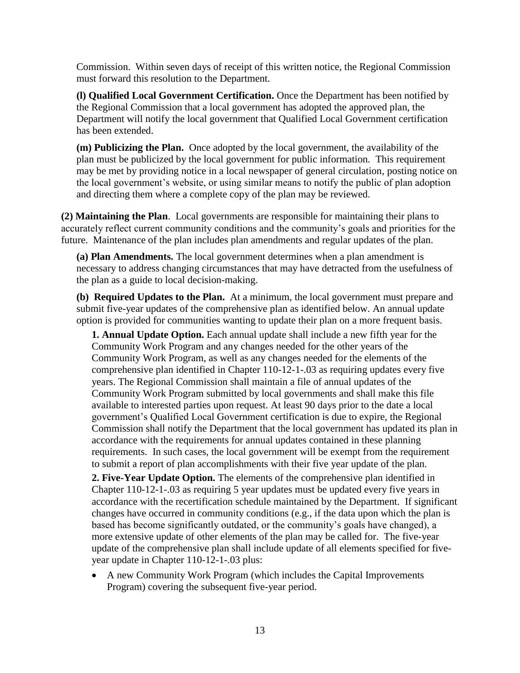Commission. Within seven days of receipt of this written notice, the Regional Commission must forward this resolution to the Department.

**(l) Qualified Local Government Certification.** Once the Department has been notified by the Regional Commission that a local government has adopted the approved plan, the Department will notify the local government that Qualified Local Government certification has been extended.

**(m) Publicizing the Plan.** Once adopted by the local government, the availability of the plan must be publicized by the local government for public information. This requirement may be met by providing notice in a local newspaper of general circulation, posting notice on the local government's website, or using similar means to notify the public of plan adoption and directing them where a complete copy of the plan may be reviewed.

**(2) Maintaining the Plan**. Local governments are responsible for maintaining their plans to accurately reflect current community conditions and the community's goals and priorities for the future. Maintenance of the plan includes plan amendments and regular updates of the plan.

**(a) Plan Amendments.** The local government determines when a plan amendment is necessary to address changing circumstances that may have detracted from the usefulness of the plan as a guide to local decision-making.

**(b) Required Updates to the Plan.** At a minimum, the local government must prepare and submit five-year updates of the comprehensive plan as identified below. An annual update option is provided for communities wanting to update their plan on a more frequent basis.

**1. Annual Update Option.** Each annual update shall include a new fifth year for the Community Work Program and any changes needed for the other years of the Community Work Program, as well as any changes needed for the elements of the comprehensive plan identified in Chapter 110-12-1-.03 as requiring updates every five years. The Regional Commission shall maintain a file of annual updates of the Community Work Program submitted by local governments and shall make this file available to interested parties upon request. At least 90 days prior to the date a local government's Qualified Local Government certification is due to expire, the Regional Commission shall notify the Department that the local government has updated its plan in accordance with the requirements for annual updates contained in these planning requirements. In such cases, the local government will be exempt from the requirement to submit a report of plan accomplishments with their five year update of the plan.

**2. Five-Year Update Option.** The elements of the comprehensive plan identified in Chapter 110-12-1-.03 as requiring 5 year updates must be updated every five years in accordance with the recertification schedule maintained by the Department. If significant changes have occurred in community conditions (e.g., if the data upon which the plan is based has become significantly outdated, or the community's goals have changed), a more extensive update of other elements of the plan may be called for. The five-year update of the comprehensive plan shall include update of all elements specified for fiveyear update in Chapter 110-12-1-.03 plus:

 A new Community Work Program (which includes the Capital Improvements Program) covering the subsequent five-year period.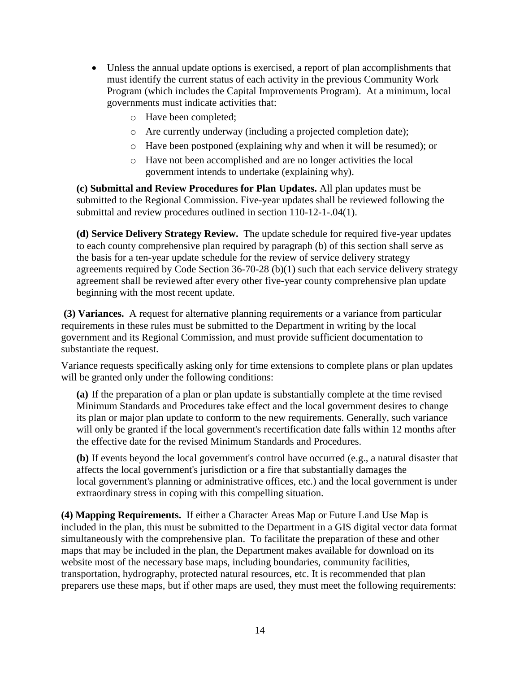- Unless the annual update options is exercised, a report of plan accomplishments that must identify the current status of each activity in the previous Community Work Program (which includes the Capital Improvements Program). At a minimum, local governments must indicate activities that:
	- o Have been completed;
	- o Are currently underway (including a projected completion date);
	- o Have been postponed (explaining why and when it will be resumed); or
	- o Have not been accomplished and are no longer activities the local government intends to undertake (explaining why).

**(c) Submittal and Review Procedures for Plan Updates.** All plan updates must be submitted to the Regional Commission. Five-year updates shall be reviewed following the submittal and review procedures outlined in section 110-12-1-.04(1).

**(d) Service Delivery Strategy Review.** The update schedule for required five-year updates to each county comprehensive plan required by paragraph (b) of this section shall serve as the basis for a ten-year update schedule for the review of service delivery strategy agreements required by Code Section 36-70-28 (b)(1) such that each service delivery strategy agreement shall be reviewed after every other five-year county comprehensive plan update beginning with the most recent update.

**(3) Variances.** A request for alternative planning requirements or a variance from particular requirements in these rules must be submitted to the Department in writing by the local government and its Regional Commission, and must provide sufficient documentation to substantiate the request.

Variance requests specifically asking only for time extensions to complete plans or plan updates will be granted only under the following conditions:

**(a)** If the preparation of a plan or plan update is substantially complete at the time revised Minimum Standards and Procedures take effect and the local government desires to change its plan or major plan update to conform to the new requirements. Generally, such variance will only be granted if the local government's recertification date falls within 12 months after the effective date for the revised Minimum Standards and Procedures.

**(b)** If events beyond the local government's control have occurred (e.g., a natural disaster that affects the local government's jurisdiction or a fire that substantially damages the local government's planning or administrative offices, etc.) and the local government is under extraordinary stress in coping with this compelling situation.

**(4) Mapping Requirements.** If either a Character Areas Map or Future Land Use Map is included in the plan, this must be submitted to the Department in a GIS digital vector data format simultaneously with the comprehensive plan. To facilitate the preparation of these and other maps that may be included in the plan, the Department makes available for download on its website most of the necessary base maps, including boundaries, community facilities, transportation, hydrography, protected natural resources, etc. It is recommended that plan preparers use these maps, but if other maps are used, they must meet the following requirements: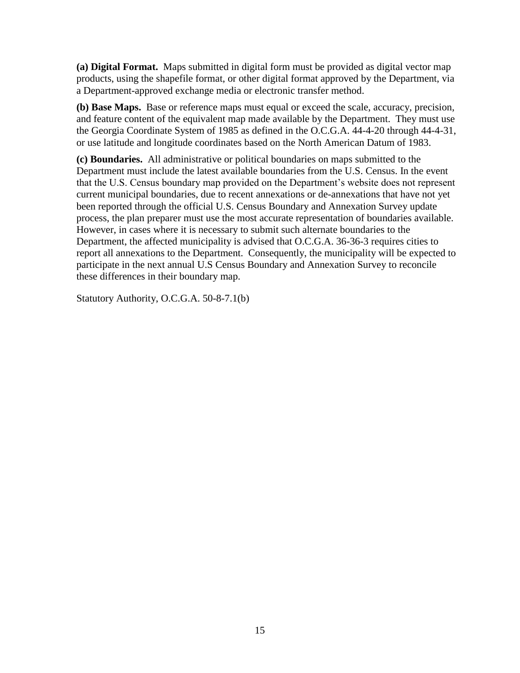**(a) Digital Format.** Maps submitted in digital form must be provided as digital vector map products, using the shapefile format, or other digital format approved by the Department, via a Department-approved exchange media or electronic transfer method.

**(b) Base Maps.** Base or reference maps must equal or exceed the scale, accuracy, precision, and feature content of the equivalent map made available by the Department. They must use the Georgia Coordinate System of 1985 as defined in the O.C.G.A. 44-4-20 through 44-4-31, or use latitude and longitude coordinates based on the North American Datum of 1983.

<span id="page-14-0"></span>**(c) Boundaries.** All administrative or political boundaries on maps submitted to the Department must include the latest available boundaries from the U.S. Census. In the event that the U.S. Census boundary map provided on the Department's website does not represent current municipal boundaries, due to recent annexations or de-annexations that have not yet been reported through the official U.S. Census Boundary and Annexation Survey update process, the plan preparer must use the most accurate representation of boundaries available. However, in cases where it is necessary to submit such alternate boundaries to the Department, the affected municipality is advised that O.C.G.A. 36-36-3 requires cities to report all annexations to the Department. Consequently, the municipality will be expected to participate in the next annual U.S Census Boundary and Annexation Survey to reconcile these differences in their boundary map.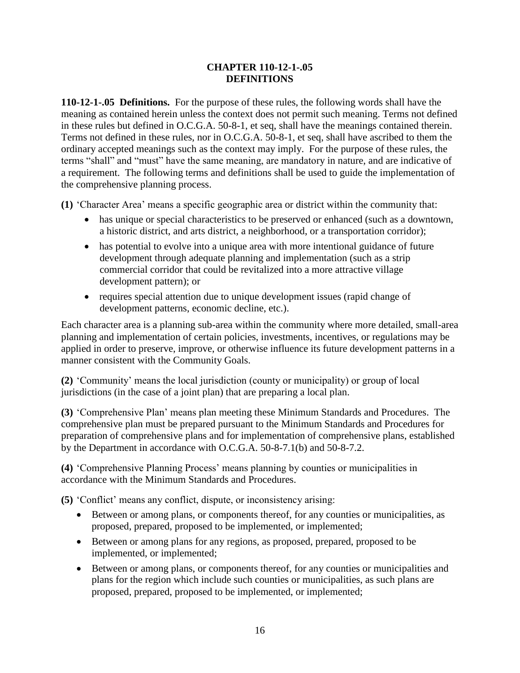## **CHAPTER 110-12-1-.05 DEFINITIONS**

**110-12-1-.05 Definitions.** For the purpose of these rules, the following words shall have the meaning as contained herein unless the context does not permit such meaning. Terms not defined in these rules but defined in O.C.G.A. 50-8-1, et seq, shall have the meanings contained therein. Terms not defined in these rules, nor in O.C.G.A. 50-8-1, et seq, shall have ascribed to them the ordinary accepted meanings such as the context may imply. For the purpose of these rules, the terms "shall" and "must" have the same meaning, are mandatory in nature, and are indicative of a requirement. The following terms and definitions shall be used to guide the implementation of the comprehensive planning process.

**(1)** 'Character Area' means a specific geographic area or district within the community that:

- has unique or special characteristics to be preserved or enhanced (such as a downtown, a historic district, and arts district, a neighborhood, or a transportation corridor);
- has potential to evolve into a unique area with more intentional guidance of future development through adequate planning and implementation (such as a strip commercial corridor that could be revitalized into a more attractive village development pattern); or
- requires special attention due to unique development issues (rapid change of development patterns, economic decline, etc.).

Each character area is a planning sub-area within the community where more detailed, small-area planning and implementation of certain policies, investments, incentives, or regulations may be applied in order to preserve, improve, or otherwise influence its future development patterns in a manner consistent with the Community Goals.

**(2)** 'Community' means the local jurisdiction (county or municipality) or group of local jurisdictions (in the case of a joint plan) that are preparing a local plan.

**(3)** 'Comprehensive Plan' means plan meeting these Minimum Standards and Procedures. The comprehensive plan must be prepared pursuant to the Minimum Standards and Procedures for preparation of comprehensive plans and for implementation of comprehensive plans, established by the Department in accordance with O.C.G.A. 50-8-7.1(b) and 50-8-7.2.

**(4)** 'Comprehensive Planning Process' means planning by counties or municipalities in accordance with the Minimum Standards and Procedures.

**(5)** 'Conflict' means any conflict, dispute, or inconsistency arising:

- Between or among plans, or components thereof, for any counties or municipalities, as proposed, prepared, proposed to be implemented, or implemented;
- Between or among plans for any regions, as proposed, prepared, proposed to be implemented, or implemented;
- Between or among plans, or components thereof, for any counties or municipalities and plans for the region which include such counties or municipalities, as such plans are proposed, prepared, proposed to be implemented, or implemented;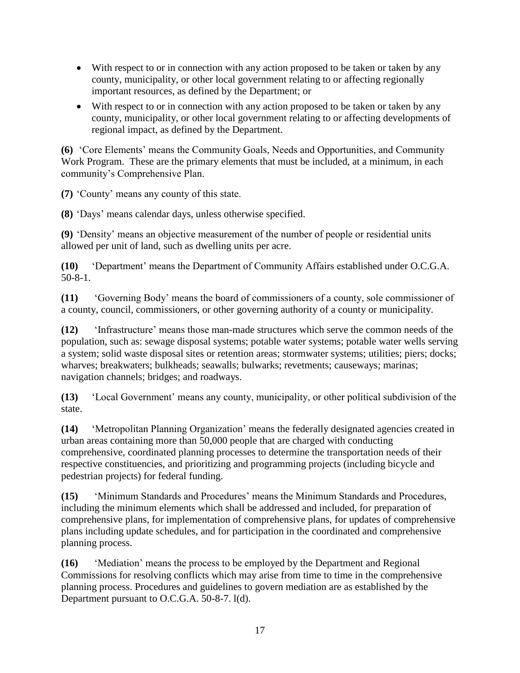- With respect to or in connection with any action proposed to be taken or taken by any county, municipality, or other local government relating to or affecting regionally important resources, as defined by the Department; or
- With respect to or in connection with any action proposed to be taken or taken by any county, municipality, or other local government relating to or affecting developments of regional impact, as defined by the Department.

**(6)** 'Core Elements' means the Community Goals, Needs and Opportunities, and Community Work Program. These are the primary elements that must be included, at a minimum, in each community's Comprehensive Plan.

**(7)** 'County' means any county of this state.

**(8)** 'Days' means calendar days, unless otherwise specified.

**(9)** 'Density' means an objective measurement of the number of people or residential units allowed per unit of land, such as dwelling units per acre.

**(10)** 'Department' means the Department of Community Affairs established under O.C.G.A. 50-8-1.

**(11)** 'Governing Body' means the board of commissioners of a county, sole commissioner of a county, council, commissioners, or other governing authority of a county or municipality.

**(12)** 'Infrastructure' means those man-made structures which serve the common needs of the population, such as: sewage disposal systems; potable water systems; potable water wells serving a system; solid waste disposal sites or retention areas; stormwater systems; utilities; piers; docks; wharves; breakwaters; bulkheads; seawalls; bulwarks; revetments; causeways; marinas; navigation channels; bridges; and roadways.

**(13)** 'Local Government' means any county, municipality, or other political subdivision of the state.

**(14)** 'Metropolitan Planning Organization' means the federally designated agencies created in urban areas containing more than 50,000 people that are charged with conducting comprehensive, coordinated planning processes to determine the transportation needs of their respective constituencies, and prioritizing and programming projects (including bicycle and pedestrian projects) for federal funding.

**(15)** 'Minimum Standards and Procedures' means the Minimum Standards and Procedures, including the minimum elements which shall be addressed and included, for preparation of comprehensive plans, for implementation of comprehensive plans, for updates of comprehensive plans including update schedules, and for participation in the coordinated and comprehensive planning process.

**(16)** 'Mediation' means the process to be employed by the Department and Regional Commissions for resolving conflicts which may arise from time to time in the comprehensive planning process. Procedures and guidelines to govern mediation are as established by the Department pursuant to O.C.G.A. 50-8-7. l(d).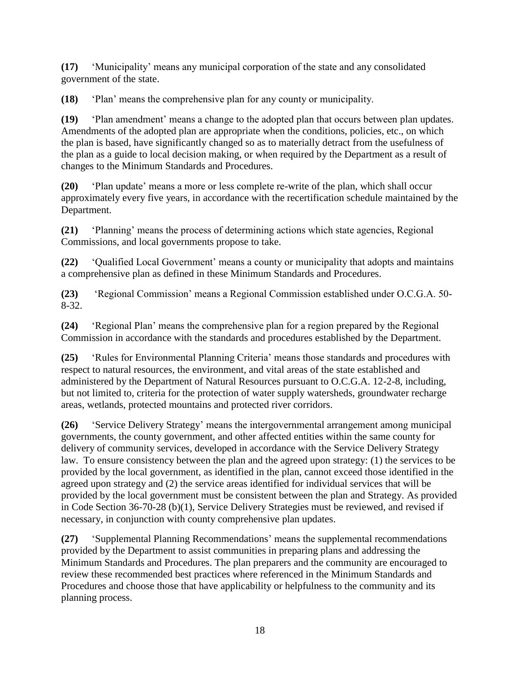**(17)** 'Municipality' means any municipal corporation of the state and any consolidated government of the state.

**(18)** 'Plan' means the comprehensive plan for any county or municipality.

**(19)** 'Plan amendment' means a change to the adopted plan that occurs between plan updates. Amendments of the adopted plan are appropriate when the conditions, policies, etc., on which the plan is based, have significantly changed so as to materially detract from the usefulness of the plan as a guide to local decision making, or when required by the Department as a result of changes to the Minimum Standards and Procedures.

**(20)** 'Plan update' means a more or less complete re-write of the plan, which shall occur approximately every five years, in accordance with the recertification schedule maintained by the Department.

**(21)** 'Planning' means the process of determining actions which state agencies, Regional Commissions, and local governments propose to take.

**(22)** 'Qualified Local Government' means a county or municipality that adopts and maintains a comprehensive plan as defined in these Minimum Standards and Procedures.

**(23)** 'Regional Commission' means a Regional Commission established under O.C.G.A. 50- 8-32.

**(24)** 'Regional Plan' means the comprehensive plan for a region prepared by the Regional Commission in accordance with the standards and procedures established by the Department.

**(25)** 'Rules for Environmental Planning Criteria' means those standards and procedures with respect to natural resources, the environment, and vital areas of the state established and administered by the Department of Natural Resources pursuant to O.C.G.A. 12-2-8, including, but not limited to, criteria for the protection of water supply watersheds, groundwater recharge areas, wetlands, protected mountains and protected river corridors.

**(26)** 'Service Delivery Strategy' means the intergovernmental arrangement among municipal governments, the county government, and other affected entities within the same county for delivery of community services, developed in accordance with the Service Delivery Strategy law. To ensure consistency between the plan and the agreed upon strategy: (1) the services to be provided by the local government, as identified in the plan, cannot exceed those identified in the agreed upon strategy and (2) the service areas identified for individual services that will be provided by the local government must be consistent between the plan and Strategy. As provided in Code Section 36-70-28 (b)(1), Service Delivery Strategies must be reviewed, and revised if necessary, in conjunction with county comprehensive plan updates.

**(27)** 'Supplemental Planning Recommendations' means the supplemental recommendations provided by the Department to assist communities in preparing plans and addressing the Minimum Standards and Procedures. The plan preparers and the community are encouraged to review these recommended best practices where referenced in the Minimum Standards and Procedures and choose those that have applicability or helpfulness to the community and its planning process.